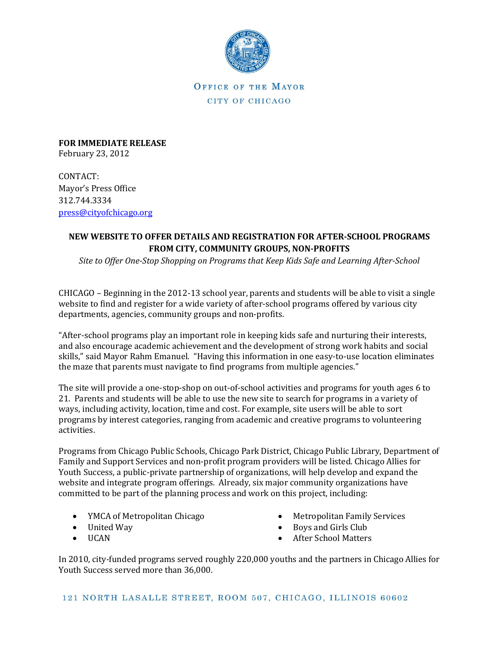

OFFICE OF THE MAYOR CITY OF CHICAGO

**FOR IMMEDIATE RELEASE** February 23, 2012

CONTACT: Mayor's Press Office 312.744.3334 [press@cityofchicago.org](mailto:press@cityofchicago.org)

## **NEW WEBSITE TO OFFER DETAILS AND REGISTRATION FOR AFTER-SCHOOL PROGRAMS FROM CITY, COMMUNITY GROUPS, NON-PROFITS**

*Site to Offer One-Stop Shopping on Programs that Keep Kids Safe and Learning After-School* 

CHICAGO – Beginning in the 2012-13 school year, parents and students will be able to visit a single website to find and register for a wide variety of after-school programs offered by various city departments, agencies, community groups and non-profits.

"After-school programs play an important role in keeping kids safe and nurturing their interests, and also encourage academic achievement and the development of strong work habits and social skills," said Mayor Rahm Emanuel. "Having this information in one easy-to-use location eliminates the maze that parents must navigate to find programs from multiple agencies."

The site will provide a one-stop-shop on out-of-school activities and programs for youth ages 6 to 21. Parents and students will be able to use the new site to search for programs in a variety of ways, including activity, location, time and cost. For example, site users will be able to sort programs by interest categories, ranging from academic and creative programs to volunteering activities.

Programs from Chicago Public Schools, Chicago Park District, Chicago Public Library, Department of Family and Support Services and non-profit program providers will be listed. Chicago Allies for Youth Success, a public-private partnership of organizations, will help develop and expand the website and integrate program offerings. Already, six major community organizations have committed to be part of the planning process and work on this project, including:

- YMCA of Metropolitan Chicago
- United Way
- UCAN
- Metropolitan Family Services
- Boys and Girls Club
- After School Matters

In 2010, city-funded programs served roughly 220,000 youths and the partners in Chicago Allies for Youth Success served more than 36,000.